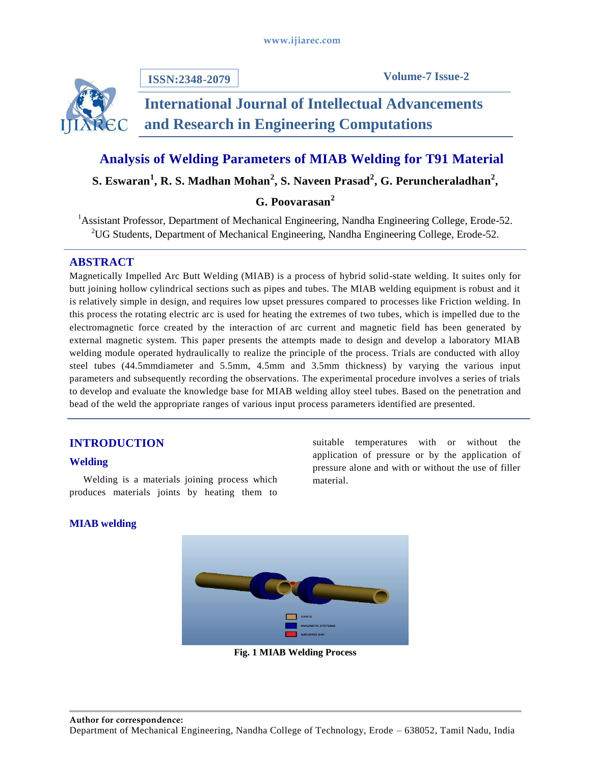

**ISSN:2348-2079**

**Volume-7 Issue-2**

# **International Journal of Intellectual Advancements and Research in Engineering Computations**

# **Analysis of Welding Parameters of MIAB Welding for T91 Material**

**S. Eswaran<sup>1</sup> , R. S. Madhan Mohan<sup>2</sup> , S. Naveen Prasad<sup>2</sup> , G. Peruncheraladhan 2 ,** 

# **G. Poovarasan<sup>2</sup>**

<sup>1</sup> Assistant Professor, Department of Mechanical Engineering, Nandha Engineering College, Erode-52. <sup>2</sup>UG Students, Department of Mechanical Engineering, Nandha Engineering College, Erode-52.

### **ABSTRACT**

Magnetically Impelled Arc Butt Welding (MIAB) is a process of hybrid solid-state welding. It suites only for butt joining hollow cylindrical sections such as pipes and tubes. The MIAB welding equipment is robust and it is relatively simple in design, and requires low upset pressures compared to processes like Friction welding. In this process the rotating electric arc is used for heating the extremes of two tubes, which is impelled due to the electromagnetic force created by the interaction of arc current and magnetic field has been generated by external magnetic system. This paper presents the attempts made to design and develop a laboratory MIAB welding module operated hydraulically to realize the principle of the process. Trials are conducted with alloy steel tubes (44.5mmdiameter and 5.5mm, 4.5mm and 3.5mm thickness) by varying the various input parameters and subsequently recording the observations. The experimental procedure involves a series of trials to develop and evaluate the knowledge base for MIAB welding alloy steel tubes. Based on the penetration and bead of the weld the appropriate ranges of various input process parameters identified are presented.

# **INTRODUCTION**

#### **Welding**

Welding is a materials joining process which produces materials joints by heating them to

suitable temperatures with or without the application of pressure or by the application of pressure alone and with or without the use of filler material.

#### **MIAB welding**



**Fig. 1 MIAB Welding Process**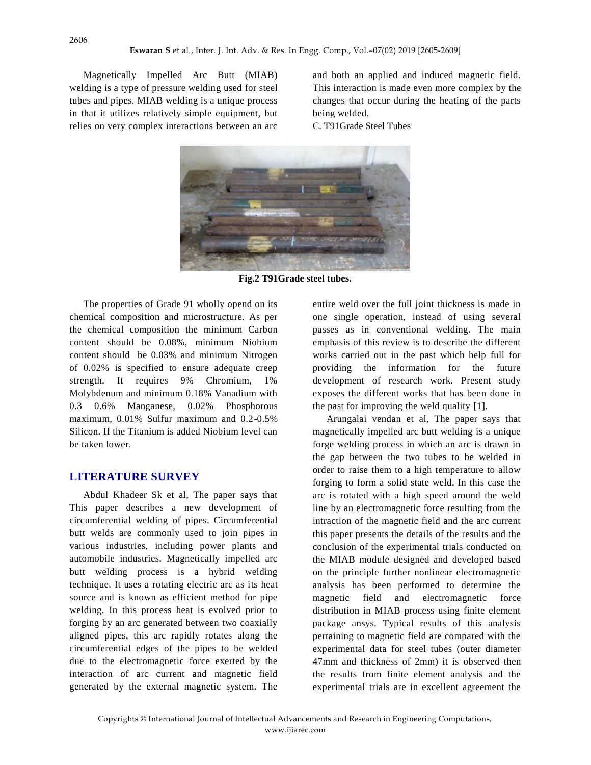Magnetically Impelled Arc Butt (MIAB) welding is a type of pressure welding used for steel tubes and pipes. MIAB welding is a unique process in that it utilizes relatively simple equipment, but relies on very complex interactions between an arc

and both an applied and induced magnetic field. This interaction is made even more complex by the changes that occur during the heating of the parts being welded.

C. T91Grade Steel Tubes



**Fig.2 T91Grade steel tubes.**

The properties of Grade 91 wholly opend on its chemical composition and microstructure. As per the chemical composition the minimum Carbon content should be 0.08%, minimum Niobium content should be 0.03% and minimum Nitrogen of 0.02% is specified to ensure adequate creep strength. It requires 9% Chromium, 1% Molybdenum and minimum 0.18% Vanadium with 0.3 0.6% Manganese, 0.02% Phosphorous maximum, 0.01% Sulfur maximum and 0.2-0.5% Silicon. If the Titanium is added Niobium level can be taken lower.

#### **LITERATURE SURVEY**

Abdul Khadeer Sk et al, The paper says that This paper describes a new development of circumferential welding of pipes. Circumferential butt welds are commonly used to join pipes in various industries, including power plants and automobile industries. Magnetically impelled arc butt welding process is a hybrid welding technique. It uses a rotating electric arc as its heat source and is known as efficient method for pipe welding. In this process heat is evolved prior to forging by an arc generated between two coaxially aligned pipes, this arc rapidly rotates along the circumferential edges of the pipes to be welded due to the electromagnetic force exerted by the interaction of arc current and magnetic field generated by the external magnetic system. The

entire weld over the full joint thickness is made in one single operation, instead of using several passes as in conventional welding. The main emphasis of this review is to describe the different works carried out in the past which help full for providing the information for the future development of research work. Present study exposes the different works that has been done in the past for improving the weld quality [1].

Arungalai vendan et al, The paper says that magnetically impelled arc butt welding is a unique forge welding process in which an arc is drawn in the gap between the two tubes to be welded in order to raise them to a high temperature to allow forging to form a solid state weld. In this case the arc is rotated with a high speed around the weld line by an electromagnetic force resulting from the intraction of the magnetic field and the arc current this paper presents the details of the results and the conclusion of the experimental trials conducted on the MIAB module designed and developed based on the principle further nonlinear electromagnetic analysis has been performed to determine the magnetic field and electromagnetic force distribution in MIAB process using finite element package ansys. Typical results of this analysis pertaining to magnetic field are compared with the experimental data for steel tubes (outer diameter 47mm and thickness of 2mm) it is observed then the results from finite element analysis and the experimental trials are in excellent agreement the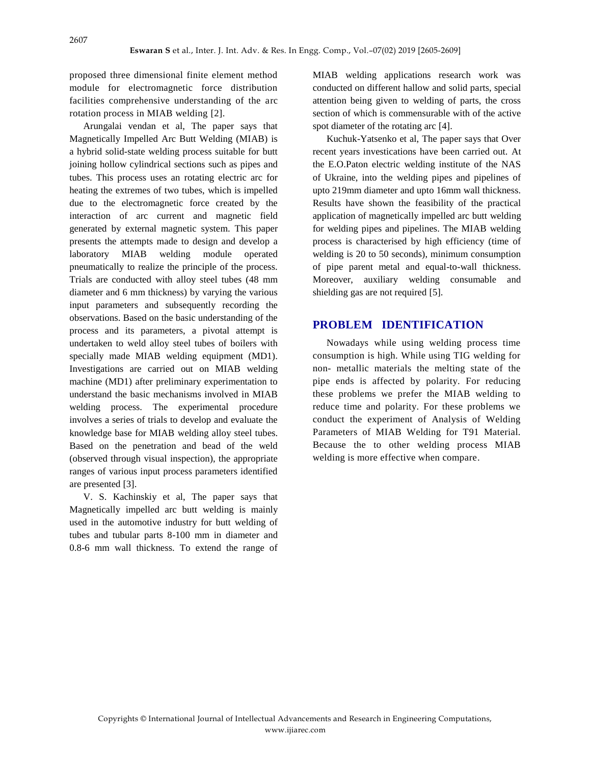proposed three dimensional finite element method module for electromagnetic force distribution facilities comprehensive understanding of the arc rotation process in MIAB welding [2].

Arungalai vendan et al, The paper says that Magnetically Impelled Arc Butt Welding (MIAB) is a hybrid solid-state welding process suitable for butt joining hollow cylindrical sections such as pipes and tubes. This process uses an rotating electric arc for heating the extremes of two tubes, which is impelled due to the electromagnetic force created by the interaction of arc current and magnetic field generated by external magnetic system. This paper presents the attempts made to design and develop a laboratory MIAB welding module operated pneumatically to realize the principle of the process. Trials are conducted with alloy steel tubes (48 mm diameter and 6 mm thickness) by varying the various input parameters and subsequently recording the observations. Based on the basic understanding of the process and its parameters, a pivotal attempt is undertaken to weld alloy steel tubes of boilers with specially made MIAB welding equipment (MD1). Investigations are carried out on MIAB welding machine (MD1) after preliminary experimentation to understand the basic mechanisms involved in MIAB welding process. The experimental procedure involves a series of trials to develop and evaluate the knowledge base for MIAB welding alloy steel tubes. Based on the penetration and bead of the weld (observed through visual inspection), the appropriate ranges of various input process parameters identified are presented [3].

V. S. Kachinskiy et al, The paper says that Magnetically impelled arc butt welding is mainly used in the automotive industry for butt welding of tubes and tubular parts 8-100 mm in diameter and 0.8-6 mm wall thickness. To extend the range of MIAB welding applications research work was conducted on different hallow and solid parts, special attention being given to welding of parts, the cross section of which is commensurable with of the active spot diameter of the rotating arc [4].

Kuchuk-Yatsenko et al, The paper says that Over recent years investications have been carried out. At the E.O.Paton electric welding institute of the NAS of Ukraine, into the welding pipes and pipelines of upto 219mm diameter and upto 16mm wall thickness. Results have shown the feasibility of the practical application of magnetically impelled arc butt welding for welding pipes and pipelines. The MIAB welding process is characterised by high efficiency (time of welding is 20 to 50 seconds), minimum consumption of pipe parent metal and equal-to-wall thickness. Moreover, auxiliary welding consumable and shielding gas are not required [5].

#### **PROBLEM IDENTIFICATION**

Nowadays while using welding process time consumption is high. While using TIG welding for non- metallic materials the melting state of the pipe ends is affected by polarity. For reducing these problems we prefer the MIAB welding to reduce time and polarity. For these problems we conduct the experiment of Analysis of Welding Parameters of MIAB Welding for T91 Material. Because the to other welding process MIAB welding is more effective when compare.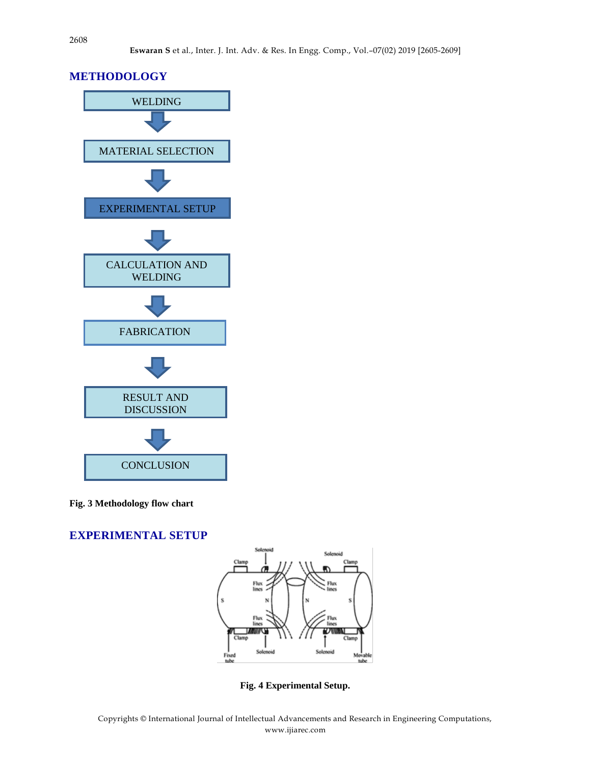## **METHODOLOGY**



**Fig. 3 Methodology flow chart**

**EXPERIMENTAL SETUP**



**Fig. 4 Experimental Setup.**

Copyrights © International Journal of Intellectual Advancements and Research in Engineering Computations, www.ijiarec.com